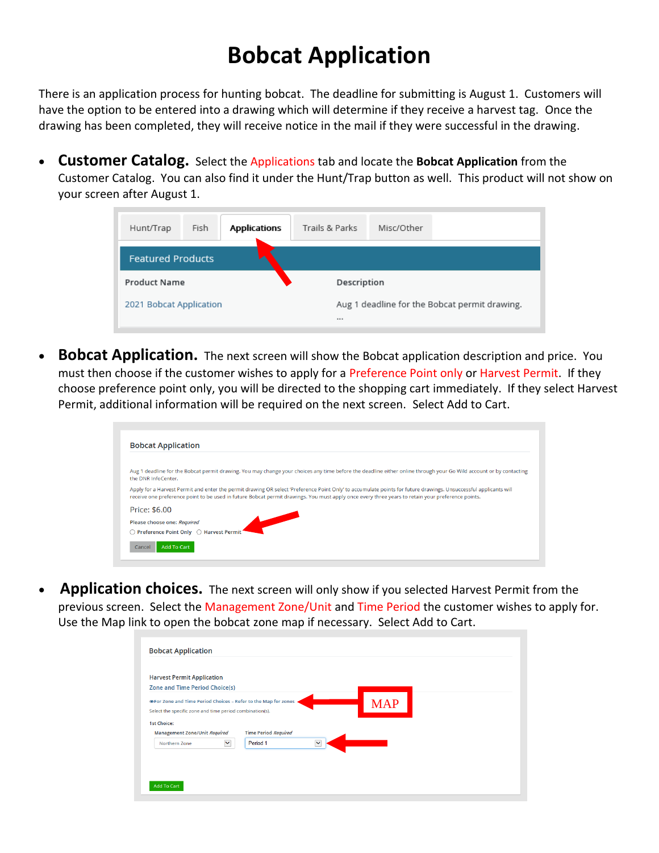## **Bobcat Application**

There is an application process for hunting bobcat. The deadline for submitting is August 1. Customers will have the option to be entered into a drawing which will determine if they receive a harvest tag. Once the drawing has been completed, they will receive notice in the mail if they were successful in the drawing.

• **Customer Catalog.** Select the Applications tab and locate the **Bobcat Application** from the Customer Catalog. You can also find it under the Hunt/Trap button as well. This product will not show on your screen after August 1.

| Hunt/Trap                | Fish | <b>Applications</b> | Trails & Parks | Misc/Other                                    |  |
|--------------------------|------|---------------------|----------------|-----------------------------------------------|--|
| <b>Featured Products</b> |      |                     |                |                                               |  |
| <b>Product Name</b>      |      |                     | Description    |                                               |  |
| 2021 Bobcat Application  |      |                     |                | Aug 1 deadline for the Bobcat permit drawing. |  |

• **Bobcat Application.** The next screen will show the Bobcat application description and price. You must then choose if the customer wishes to apply for a Preference Point only or Harvest Permit. If they choose preference point only, you will be directed to the shopping cart immediately. If they select Harvest Permit, additional information will be required on the next screen. Select Add to Cart.

| <b>Bobcat Application</b>                                                                                                                                                                                                                                                                                             |  |
|-----------------------------------------------------------------------------------------------------------------------------------------------------------------------------------------------------------------------------------------------------------------------------------------------------------------------|--|
|                                                                                                                                                                                                                                                                                                                       |  |
| Aug 1 deadline for the Bobcat permit drawing. You may change your choices any time before the deadline either online through your Go Wild account or by contacting<br>the DNR InfoCenter.                                                                                                                             |  |
| Apply for a Harvest Permit and enter the permit drawing OR select 'Preference Point Only' to accumulate points for future drawings. Unsuccessful applicants will<br>receive one preference point to be used in future Bobcat permit drawings. You must apply once every three years to retain your preference points. |  |
| Price: \$6.00                                                                                                                                                                                                                                                                                                         |  |
| Please choose one: Required                                                                                                                                                                                                                                                                                           |  |
| ◯ Preference Point Only ◯ Harvest Permit                                                                                                                                                                                                                                                                              |  |
| <b>Add To Cart</b><br>Cancel                                                                                                                                                                                                                                                                                          |  |
|                                                                                                                                                                                                                                                                                                                       |  |
|                                                                                                                                                                                                                                                                                                                       |  |

• **Application choices.** The next screen will only show if you selected Harvest Permit from the previous screen. Select the Management Zone/Unit and Time Period the customer wishes to apply for. Use the Map link to open the bobcat zone map if necessary. Select Add to Cart.

| <b>Harvest Permit Application</b>                                    |                                                                                                             |              |            |  |
|----------------------------------------------------------------------|-------------------------------------------------------------------------------------------------------------|--------------|------------|--|
| <b>Zone and Time Period Choice(s)</b>                                |                                                                                                             |              |            |  |
|                                                                      | The Period Choices - Refer to the Map for zones<br>Select the specific zone and time period combination(s). |              | <b>MAP</b> |  |
| <b>1st Choice:</b><br>Management Zone/Unit Required<br>Northern Zone | <b>Time Period Required</b><br>$\checkmark$<br>Period <sub>1</sub>                                          | $\checkmark$ |            |  |